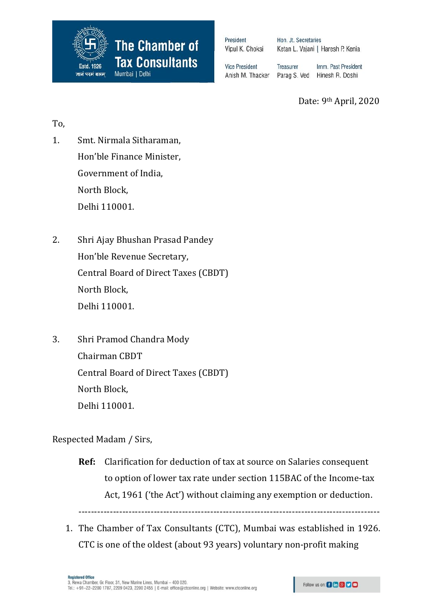

President Vipul K. Choksi Hon. Jt. Secretaries Ketan L. Vajani | Haresh P. Kenia

**Vice President** Anish M. Thacker Treasurer Imm. Past President Parag S. Ved Hinesh R. Doshi

Date: 9th April, 2020

To,

- 1. Smt. Nirmala Sitharaman, Hon'ble Finance Minister, Government of India, North Block, Delhi 110001.
- 2. Shri Ajay Bhushan Prasad Pandey Hon'ble Revenue Secretary, Central Board of Direct Taxes (CBDT) North Block, Delhi 110001.
- 3. Shri Pramod Chandra Mody Chairman CBDT Central Board of Direct Taxes (CBDT) North Block, Delhi 110001.

Respected Madam / Sirs,

**Ref:** Clarification for deduction of tax at source on Salaries consequent to option of lower tax rate under section 115BAC of the Income-tax Act, 1961 ('the Act') without claiming any exemption or deduction.

------------------------------------------------------------------------------------------------

1. The Chamber of Tax Consultants (CTC), Mumbai was established in 1926. CTC is one of the oldest (about 93 years) voluntary non-profit making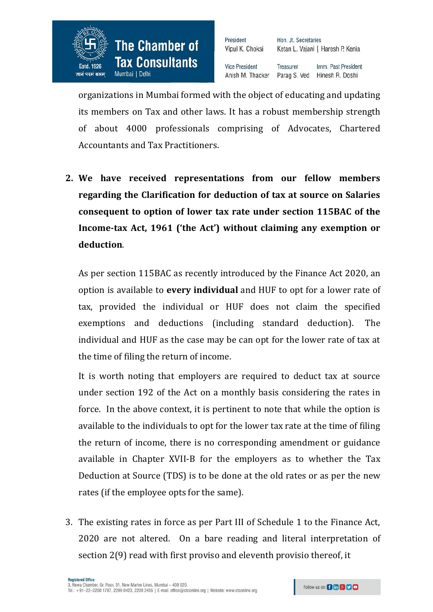

President Vipul K. Choksi Hon. Jt. Secretaries Ketan L. Vajani | Haresh P. Kenia

**Vice President** Treasurer Imm. Past President Anish M. Thacker Parag S. Ved Hinesh R. Doshi

organizations in Mumbai formed with the object of educating and updating its members on Tax and other laws. It has a robust membership strength of about 4000 professionals comprising of Advocates, Chartered Accountants and Tax Practitioners.

**2. We have received representations from our fellow members regarding the Clarification for deduction of tax at source on Salaries consequent to option of lower tax rate under section 115BAC of the Income-tax Act, 1961 ('the Act') without claiming any exemption or deduction**.

As per section 115BAC as recently introduced by the Finance Act 2020, an option is available to **every individual** and HUF to opt for a lower rate of tax, provided the individual or HUF does not claim the specified exemptions and deductions (including standard deduction). The individual and HUF as the case may be can opt for the lower rate of tax at the time of filing the return of income.

It is worth noting that employers are required to deduct tax at source under section 192 of the Act on a monthly basis considering the rates in force. In the above context, it is pertinent to note that while the option is available to the individuals to opt for the lower tax rate at the time of filing the return of income, there is no corresponding amendment or guidance available in Chapter XVII-B for the employers as to whether the Tax Deduction at Source (TDS) is to be done at the old rates or as per the new rates (if the employee opts for the same).

3. The existing rates in force as per Part III of Schedule 1 to the Finance Act, 2020 are not altered. On a bare reading and literal interpretation of section 2(9) read with first proviso and eleventh provisio thereof, it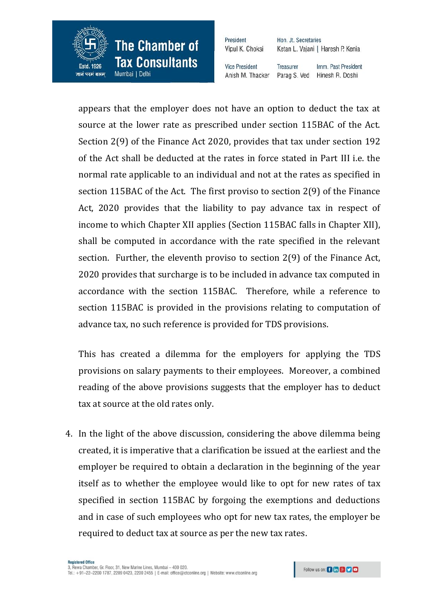

Mumbai | Delhi

जानं परमं बलम

President Vipul K. Choksi Hon. Jt. Secretaries Ketan L. Vajani | Haresh P. Kenia

**Vice President** Anish M. Thacker

Treasurer Imm. Past President Parag S. Ved Hinesh R. Doshi

appears that the employer does not have an option to deduct the tax at source at the lower rate as prescribed under section 115BAC of the Act. Section 2(9) of the Finance Act 2020, provides that tax under section 192 of the Act shall be deducted at the rates in force stated in Part III i.e. the normal rate applicable to an individual and not at the rates as specified in section 115BAC of the Act. The first proviso to section 2(9) of the Finance Act, 2020 provides that the liability to pay advance tax in respect of income to which Chapter XII applies (Section 115BAC falls in Chapter XII), shall be computed in accordance with the rate specified in the relevant section. Further, the eleventh proviso to section 2(9) of the Finance Act, 2020 provides that surcharge is to be included in advance tax computed in accordance with the section 115BAC. Therefore, while a reference to section 115BAC is provided in the provisions relating to computation of advance tax, no such reference is provided for TDS provisions.

This has created a dilemma for the employers for applying the TDS provisions on salary payments to their employees. Moreover, a combined reading of the above provisions suggests that the employer has to deduct tax at source at the old rates only.

4. In the light of the above discussion, considering the above dilemma being created, it is imperative that a clarification be issued at the earliest and the employer be required to obtain a declaration in the beginning of the year itself as to whether the employee would like to opt for new rates of tax specified in section 115BAC by forgoing the exemptions and deductions and in case of such employees who opt for new tax rates, the employer be required to deduct tax at source as per the new tax rates.